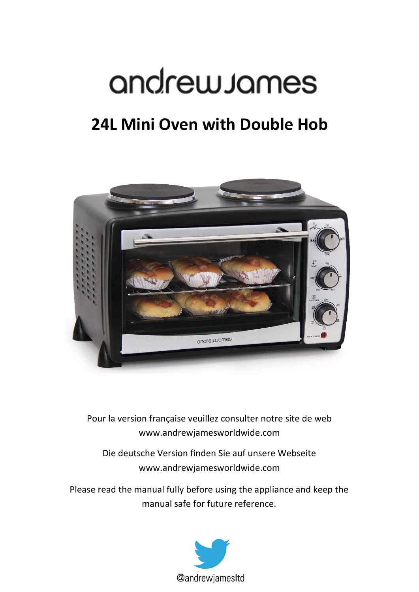# andrewJames

## **24L Mini Oven with Double Hob**



Pour la version française veuillez consulter notre site de web www.andrewjamesworldwide.com

Die deutsche Version fnden Sie auf unsere Webseite www.andrewjamesworldwide.com

Please read the manual fully before using the appliance and keep the manual safe for future reference.

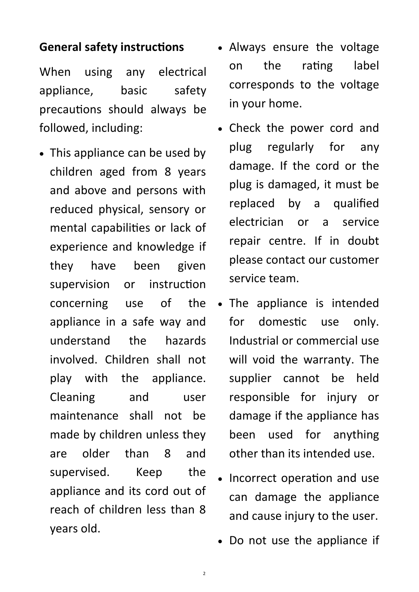#### **General safety instructions**

When using any electrical appliance, basic safety precautions should always be followed, including:

- This appliance can be used by children aged from 8 years and above and persons with reduced physical, sensory or mental capabilities or lack of experience and knowledge if they have been given supervision or instruction concerning use of the appliance in a safe way and understand the hazards involved. Children shall not play with the appliance. Cleaning and user maintenance shall not be made by children unless they are older than 8 and supervised. Keep the appliance and its cord out of reach of children less than 8 years old.
- Always ensure the voltage on the rating label corresponds to the voltage in your home.
- Check the power cord and plug regularly for any damage. If the cord or the plug is damaged, it must be replaced by a qualifed electrician or a service repair centre. If in doubt please contact our customer service team.
- The appliance is intended for domestic use only. Industrial or commercial use will void the warranty. The supplier cannot be held responsible for injury or damage if the appliance has been used for anything other than its intended use.
- Incorrect operation and use can damage the appliance and cause injury to the user.
- Do not use the appliance if

2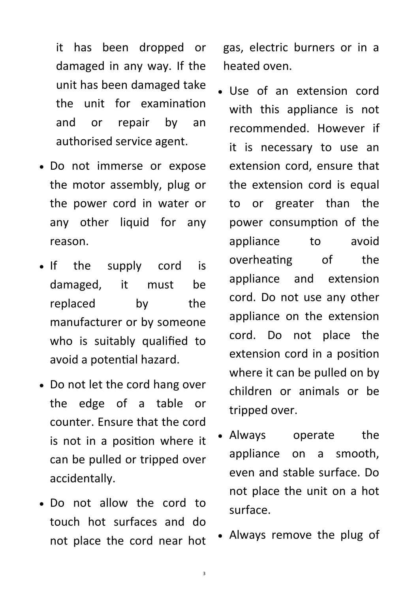it has been dropped or damaged in any way. If the unit has been damaged take the unit for examination and or repair by an authorised service agent.

- Do not immerse or expose the motor assembly, plug or the power cord in water or any other liquid for any reason.
- If the supply cord is damaged, it must be replaced by the manufacturer or by someone who is suitably qualified to avoid a potential hazard.
- Do not let the cord hang over the edge of a table or counter. Ensure that the cord is not in a positon where it can be pulled or tripped over accidentally.
- Do not allow the cord to touch hot surfaces and do not place the cord near hot

3

gas, electric burners or in a heated oven.

- Use of an extension cord with this appliance is not recommended. However if it is necessary to use an extension cord, ensure that the extension cord is equal to or greater than the power consumption of the appliance to avoid overheating of the appliance and extension cord. Do not use any other appliance on the extension cord. Do not place the extension cord in a positon where it can be pulled on by children or animals or be tripped over.
- Always operate the appliance on a smooth, even and stable surface. Do not place the unit on a hot surface.
- Always remove the plug of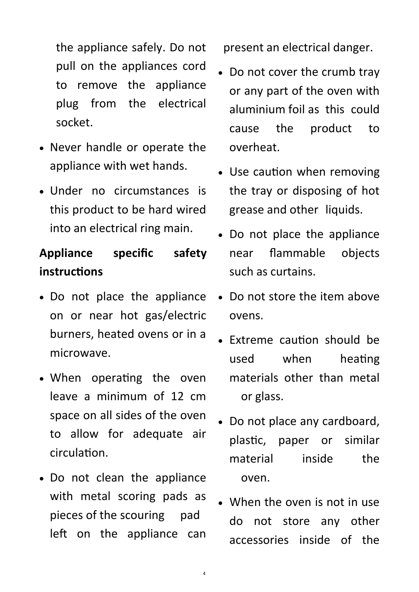the appliance safely. Do not pull on the appliances cord to remove the appliance plug from the electrical socket.

- Never handle or operate the appliance with wet hands.
- Under no circumstances is this product to be hard wired into an electrical ring main.

### **Appliance specifc safety instructions**

- Do not place the appliance on or near hot gas/electric burners, heated ovens or in a microwave.
- When operating the oven leave a minimum of 12 cm space on all sides of the oven to allow for adequate air circulation.
- Do not clean the appliance with metal scoring pads as pieces of the scouring pad left on the appliance can

4

present an electrical danger.

- Do not cover the crumb tray or any part of the oven with aluminium foil as this could cause the product to overheat.
- Use caution when removing the tray or disposing of hot grease and other liquids.
- Do not place the appliance near fammable objects such as curtains.
- $\bullet$  Do not store the item above ovens.
- Extreme caution should be used when heating materials other than metal or glass.
- Do not place any cardboard, plastic, paper or similar material inside the oven.
- When the oven is not in use do not store any other accessories inside of the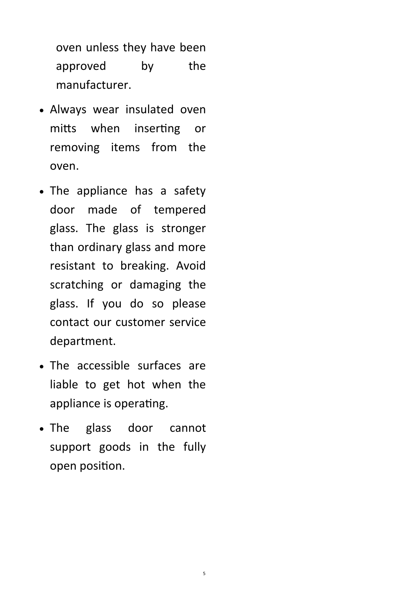oven unless they have been approved by the manufacturer.

- Always wear insulated oven mitts when inserting or removing items from the oven.
- The appliance has a safety door made of tempered glass. The glass is stronger than ordinary glass and more resistant to breaking. Avoid scratching or damaging the glass. If you do so please contact our customer service department.
- The accessible surfaces are liable to get hot when the appliance is operating.
- The glass door cannot support goods in the fully open positon.

5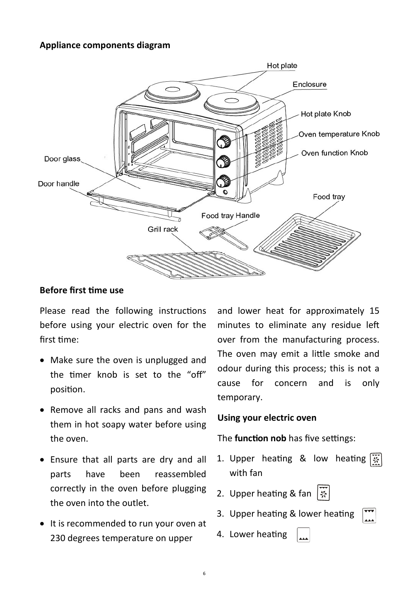#### **Appliance components diagram**



#### **Before frst tme use**

Please read the following instructions before using your electric oven for the first time:

- Make sure the oven is unplugged and the timer knob is set to the "off" positon.
- Remove all racks and pans and wash them in hot soapy water before using the oven.
- Ensure that all parts are dry and all parts have been reassembled correctly in the oven before plugging the oven into the outlet.
- It is recommended to run your oven at 230 degrees temperature on upper

and lower heat for approximately 15 minutes to eliminate any residue left over from the manufacturing process. The oven may emit a little smoke and odour during this process; this is not a cause for concern and is only temporary.

#### **Using your electric oven**

The **function nob** has five settings:

- 1. Upper heating & low heating  $\sqrt{\frac{1}{N}}$ with fan
- 2. Upper heating & fan  $\mathbb{R}$
- 3. Upper heating & lower heating
- 4. Lower heating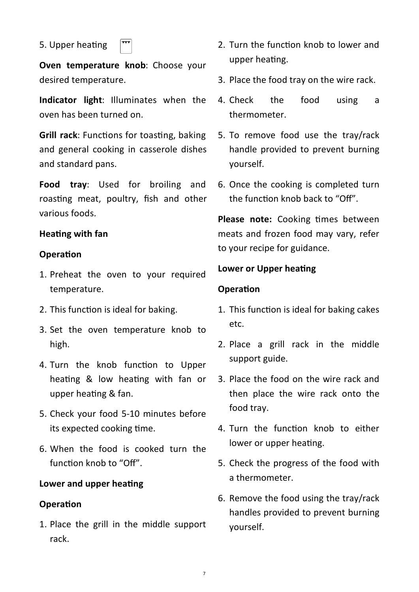#### 5. Upper heating



**Oven temperature knob**: Choose your desired temperature.

**Indicator light**: Illuminates when the oven has been turned on.

**Grill rack: Functions for toasting, baking** and general cooking in casserole dishes and standard pans.

**Food tray**: Used for broiling and roasting meat, poultry, fish and other various foods.

#### **Heating with fan**

#### **Operation**

- 1. Preheat the oven to your required temperature.
- 2. This function is ideal for baking.
- 3. Set the oven temperature knob to high.
- 4. Turn the knob function to Upper heating & low heating with fan or upper heating & fan.
- 5. Check your food 5-10 minutes before its expected cooking time.
- 6. When the food is cooked turn the function knob to "Off".

#### **Lower and upper heating**

#### **Operation**

1. Place the grill in the middle support rack.

- 2. Turn the function knob to lower and upper heating.
- 3. Place the food tray on the wire rack.
- 4. Check the food using a thermometer.
- 5. To remove food use the tray/rack handle provided to prevent burning yourself.
- 6. Once the cooking is completed turn the function knob back to "Off".

Please note: Cooking times between meats and frozen food may vary, refer to your recipe for guidance.

#### **Lower or Upper heating**

#### **Operation**

- 1. This function is ideal for baking cakes etc.
- 2. Place a grill rack in the middle support guide.
- 3. Place the food on the wire rack and then place the wire rack onto the food tray.
- 4. Turn the function knob to either lower or upper heating.
- 5. Check the progress of the food with a thermometer.
- 6. Remove the food using the tray/rack handles provided to prevent burning yourself.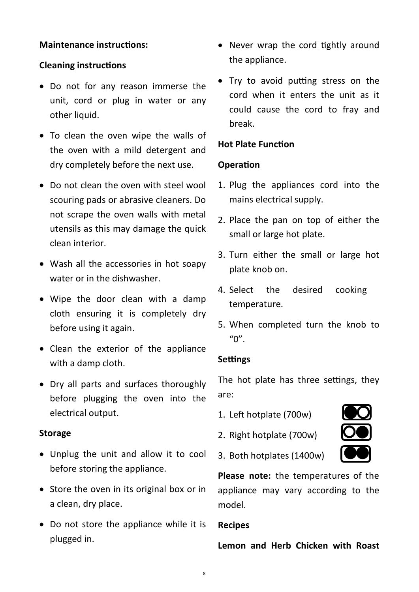#### **Maintenance instructions:**

#### **Cleaning instructions**

- Do not for any reason immerse the unit, cord or plug in water or any other liquid.
- To clean the oven wipe the walls of the oven with a mild detergent and dry completely before the next use.
- Do not clean the oven with steel wool scouring pads or abrasive cleaners. Do not scrape the oven walls with metal utensils as this may damage the quick clean interior.
- Wash all the accessories in hot soapy water or in the dishwasher.
- Wipe the door clean with a damp cloth ensuring it is completely dry before using it again.
- Clean the exterior of the appliance with a damp cloth.
- Dry all parts and surfaces thoroughly before plugging the oven into the electrical output.

#### **Storage**

- Unplug the unit and allow it to cool before storing the appliance.
- Store the oven in its original box or in a clean, dry place.
- Do not store the appliance while it is plugged in.
- Never wrap the cord tightly around the appliance.
- Try to avoid putting stress on the cord when it enters the unit as it could cause the cord to fray and break.

#### **Hot Plate Function**

#### **Operaton**

- 1. Plug the appliances cord into the mains electrical supply.
- 2. Place the pan on top of either the small or large hot plate.
- 3. Turn either the small or large hot plate knob on.
- 4. Select the desired cooking temperature.
- 5. When completed turn the knob to "0".

#### **Settings**

The hot plate has three settings, they are:

- 1. Left hotplate (700w)
- 2. Right hotplate (700w)



3. Both hotplates (1400w)

**Please note:** the temperatures of the appliance may vary according to the model.

#### **Recipes**

**Lemon and Herb Chicken with Roast**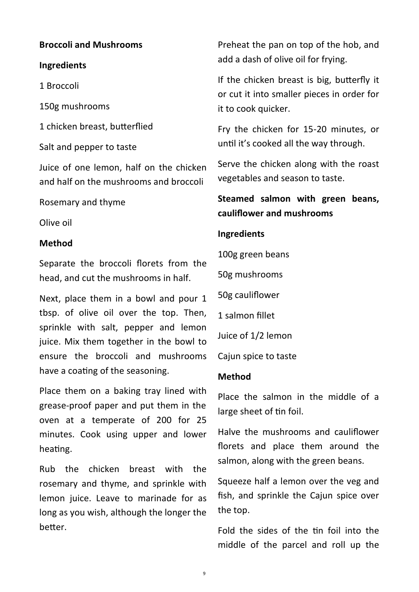#### **Broccoli and Mushrooms**

#### **Ingredients**

1 Broccoli

150g mushrooms

1 chicken breast, butterflied

Salt and pepper to taste

Juice of one lemon, half on the chicken and half on the mushrooms and broccoli

Rosemary and thyme

Olive oil

#### **Method**

Separate the broccoli florets from the head, and cut the mushrooms in half.

Next, place them in a bowl and pour 1 tbsp. of olive oil over the top. Then, sprinkle with salt, pepper and lemon juice. Mix them together in the bowl to ensure the broccoli and mushrooms have a coating of the seasoning.

Place them on a baking tray lined with grease-proof paper and put them in the oven at a temperate of 200 for 25 minutes. Cook using upper and lower heating.

Rub the chicken breast with the rosemary and thyme, and sprinkle with lemon juice. Leave to marinade for as long as you wish, although the longer the better.

Preheat the pan on top of the hob, and add a dash of olive oil for frying.

If the chicken breast is big, butterfly it or cut it into smaller pieces in order for it to cook quicker.

Fry the chicken for 15-20 minutes, or until it's cooked all the way through.

Serve the chicken along with the roast vegetables and season to taste.

#### **Steamed salmon with green beans, caulifower and mushrooms**

#### **Ingredients**

100g green beans

50g mushrooms

50g caulifower

1 salmon fllet

Juice of 1/2 lemon

Cajun spice to taste

#### **Method**

Place the salmon in the middle of a large sheet of tin foil.

Halve the mushrooms and caulifower florets and place them around the salmon, along with the green beans.

Squeeze half a lemon over the veg and fish, and sprinkle the Cajun spice over the top.

Fold the sides of the tin foil into the middle of the parcel and roll up the

9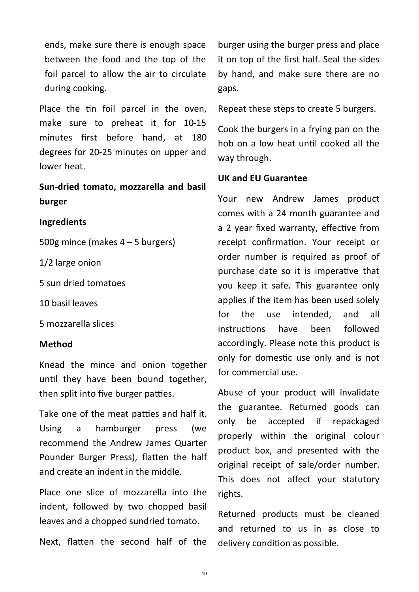ends, make sure there is enough space between the food and the top of the foil parcel to allow the air to circulate during cooking.

Place the tin foil parcel in the oven, make sure to preheat it for 10-15 minutes frst before hand, at 180 degrees for 20-25 minutes on upper and lower heat.

**Sun-dried tomato, mozzarella and basil burger**

#### **Ingredients**

500g mince (makes 4 – 5 burgers)

1/2 large onion

5 sun dried tomatoes

10 basil leaves

5 mozzarella slices

#### **Method**

Knead the mince and onion together until they have been bound together, then split into five burger patties.

Take one of the meat patties and half it. Using a hamburger press (we recommend the Andrew James Quarter Pounder Burger Press), flatten the half and create an indent in the middle.

Place one slice of mozzarella into the indent, followed by two chopped basil leaves and a chopped sundried tomato.

Next, flatten the second half of the

burger using the burger press and place it on top of the frst half. Seal the sides by hand, and make sure there are no gaps.

Repeat these steps to create 5 burgers.

Cook the burgers in a frying pan on the hob on a low heat until cooked all the way through.

#### **UK and EU Guarantee**

Your new Andrew James product comes with a 24 month guarantee and a 2 year fixed warranty, effective from receipt confirmation. Your receipt or order number is required as proof of purchase date so it is imperative that you keep it safe. This guarantee only applies if the item has been used solely for the use intended, and all instructions have been followed accordingly. Please note this product is only for domestic use only and is not for commercial use.

Abuse of your product will invalidate the guarantee. Returned goods can only be accepted if repackaged properly within the original colour product box, and presented with the original receipt of sale/order number. This does not affect your statutory rights.

Returned products must be cleaned and returned to us in as close to delivery conditon as possible.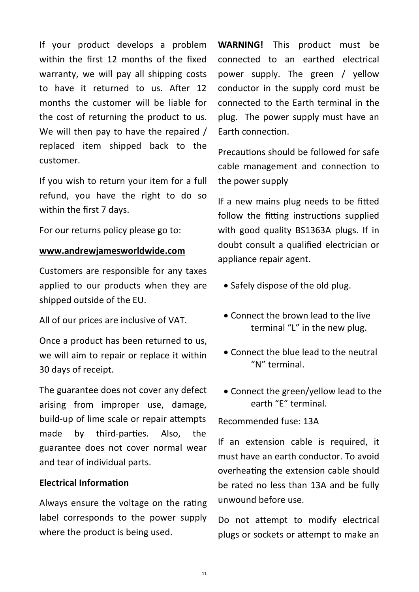If your product develops a problem within the first 12 months of the fixed warranty, we will pay all shipping costs to have it returned to us. After 12 months the customer will be liable for the cost of returning the product to us. We will then pay to have the repaired / replaced item shipped back to the customer.

If you wish to return your item for a full refund, you have the right to do so within the first 7 days.

For our returns policy please go to:

#### **www.andrewjamesworldwide.com**

Customers are responsible for any taxes applied to our products when they are shipped outside of the EU.

All of our prices are inclusive of VAT.

Once a product has been returned to us, we will aim to repair or replace it within 30 days of receipt.

The guarantee does not cover any defect arising from improper use, damage, build-up of lime scale or repair atempts made by third-parties. Also, the guarantee does not cover normal wear and tear of individual parts.

#### **Electrical Informaton**

Always ensure the voltage on the rating label corresponds to the power supply where the product is being used.

**WARNING!** This product must be connected to an earthed electrical power supply. The green / yellow conductor in the supply cord must be connected to the Earth terminal in the plug. The power supply must have an Earth connection.

Precautons should be followed for safe cable management and connection to the power supply

If a new mains plug needs to be fitted follow the fitting instructions supplied with good quality BS1363A plugs. If in doubt consult a qualifed electrician or appliance repair agent.

- Safely dispose of the old plug.
- $\bullet$  Connect the brown lead to the live terminal "L" in the new plug.
- Connect the blue lead to the neutral "N" terminal.
- Connect the green/yellow lead to the earth "E" terminal.

Recommended fuse: 13A

If an extension cable is required, it must have an earth conductor. To avoid overheating the extension cable should be rated no less than 13A and be fully unwound before use.

Do not attempt to modify electrical plugs or sockets or atempt to make an